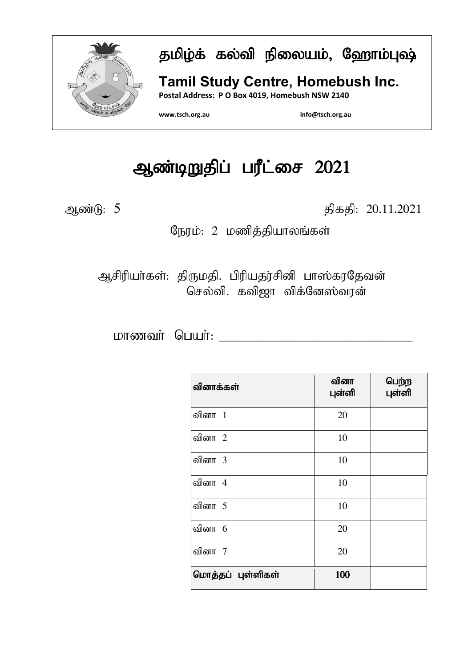

# தமிழ்க் கல்வி நிலையம், ஹோம்புஷ்

## **Tamil Study Centre, Homebush Inc.**

**Postal Address: P O Box 4019, Homebush NSW 2140**

**www.tsch.org.au info@tsch.org.au**

# ஆண்டிறுதிப் பரீட்சை 2021

ஆண்டு: 5 திகதி: 20.11.2021

நேரம்: 2 மணித்தியாலங்கள்

ஆசிரியா்கள்: திருமதி. பிரியதர்சினி பாஸ்கரதேவன் செல்வி. கவிஜா விக்னேஸ்வரன்

khzth; ngah;: \_\_\_\_\_\_\_\_\_\_\_\_\_\_\_\_\_\_\_\_\_\_\_\_\_\_\_\_\_\_\_\_\_\_\_\_\_\_\_\_\_\_\_\_

| வினாக்கள்         | வினா<br>புள்ளி | பெற்ற<br>புள்ளி |
|-------------------|----------------|-----------------|
| வினா 1            | 20             |                 |
| வினா 2            | 10             |                 |
| வினா 3            | 10             |                 |
| வினா 4            | 10             |                 |
| வினா 5            | 10             |                 |
| வினா 6            | 20             |                 |
| வினா 7            | 20             |                 |
| மொத்தப் புள்ளிகள் | 100            |                 |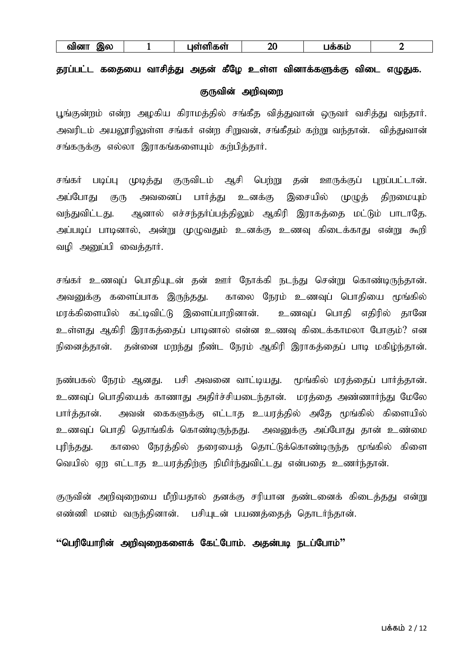| ( <u>ଇ)</u> ଲ<br>வினா<br>---<br>.<br>.<br>-IN<br>. 61<br>ີ | ரகள்<br>И<br>-- | $-1$ . $-$<br>. n<br>эсэн |  |
|------------------------------------------------------------|-----------------|---------------------------|--|
|------------------------------------------------------------|-----------------|---------------------------|--|

## தரப்பட்ட கதையை வாசித்து அதன் கீழே உள்ள வினாக்களுக்கு விடை எழுதுக. குருவின் அறிவுறை

பூங்குன்றம் என்ற அழகிய கிராமத்தில் சங்கீத வித்துவான் ஒருவர் வசித்து வந்தார். அவரிடம் அயலூரிலுள்ள சங்கர் என்ற சிறுவன், சங்கீதம் கற்று வந்தான். வித்துவான் சங்கருக்கு எல்லா இராகங்களையும் கற்பிக்கார்.

சங்கர் படிப்பு முடித்து குருவிடம் ஆசி பெற்று தன் ஊருக்குப் புறப்பட்டான். அப்போது குரு அவனைப் பார்த்து உனக்கு இசையில் முழுத் திறமையும் வந்துவிட்டது. ஆனால் எச்சந்தர்ப்பத்திலும் ஆகிரி இராகத்தை மட்டும் பாடாதே. அப்படிப் பாடினால், அன்று முழுவதும் உனக்கு உணவு கிடைக்காது என்று கூறி வழி அனுப்பி வைத்தார்.

சங்கர் உணவுப் பொதியுடன் தன் ஊர் நோக்கி நடந்து சென்று கொண்டிருந்தான். அவனுக்கு களைப்பாக இருந்தது. காலை நேரம் உணவுப் பொதியை மூங்கில் மரக்கிளையில் கட்டிவிட்டு இளைப்பாறினான். உணவுப் பொதி எதிரில் தானே உள்ளது ஆகிரி இராகத்தைப் பாடினால் என்ன உணவு கிடைக்காமலா போகும்? என நினைத்தான். தன்னை மறந்து நீண்ட நேரம் ஆகிரி இராகத்தைப் பாடி மகிழ்ந்தான்.

நண்பகல் நேரம் ஆனது. பசி அவனை வாட்டியது. மூங்கில் மரத்தைப் பார்த்தான். உணவுப் பொதியைக் காணாது அதிர்ச்சியடைந்தான். மரத்தை அண்ணார்ந்து மேலே பார்த்தான். அவன் கைகளுக்கு எட்டாத உயரத்தில் அதே மூங்கில் கிளையில் உணவுப் பொதி தொங்கிக் கொண்டிருந்தது. அவனுக்கு அப்போது தான் உண்மை புரிந்தது. காலை நேரத்தில் தரையைத் தொட்டுக்கொண்டிருந்த மூங்கில் கிளை வெயில் ஏற எட்டாத உயரத்திற்கு நிமிர்ந்துவிட்டது என்பதை உணர்ந்தான்.

குருவின் அறிவுறையை மீறியதால் தனக்கு சரியான தண்டனைக் கிடைத்தது என்று எண்ணி மனம் வருந்தினான். பசியுடன் பயணத்தைத் தொடர்ந்தான்.

 $"$ பெரியோரின் அறிவுறைகளைக் கேட்போம். அகன்படி நடப்போம் $"$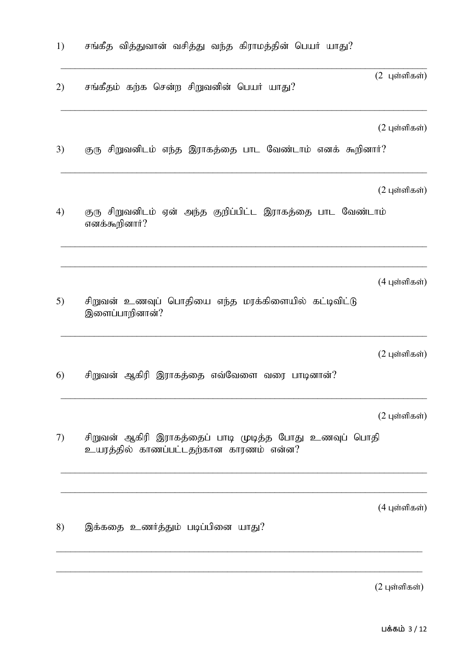| 1) | சங்கீத வித்துவான் வசித்து வந்த கிராமத்தின் பெயர் யாது?                                                                                                                                                                                                                                                                                                                                                                                                                                 |                                                                                                                                                                                                                                                                                                                                                                                                                                                                                        |
|----|----------------------------------------------------------------------------------------------------------------------------------------------------------------------------------------------------------------------------------------------------------------------------------------------------------------------------------------------------------------------------------------------------------------------------------------------------------------------------------------|----------------------------------------------------------------------------------------------------------------------------------------------------------------------------------------------------------------------------------------------------------------------------------------------------------------------------------------------------------------------------------------------------------------------------------------------------------------------------------------|
| 2) | $(2 \text{ L} \text{or} \text{m} \text{m} \text{m})$<br>சங்கீதம் கற்க சென்ற சிறுவனின் பெயர் யாது?                                                                                                                                                                                                                                                                                                                                                                                      |                                                                                                                                                                                                                                                                                                                                                                                                                                                                                        |
| 3) | குரு சிறுவனிடம் எந்த இராகத்தை பாட வேண்டாம் எனக் கூறினார்?                                                                                                                                                                                                                                                                                                                                                                                                                              | $(2 \text{ L} \cdot \text{L} \cdot \text{L} \cdot \text{L} \cdot \text{L} \cdot \text{L} \cdot \text{L} \cdot \text{L} \cdot \text{L} \cdot \text{L} \cdot \text{L} \cdot \text{L} \cdot \text{L} \cdot \text{L} \cdot \text{L} \cdot \text{L} \cdot \text{L} \cdot \text{L} \cdot \text{L} \cdot \text{L} \cdot \text{L} \cdot \text{L} \cdot \text{L} \cdot \text{L} \cdot \text{L} \cdot \text{L} \cdot \text{L} \cdot \text{L} \cdot \text{L} \cdot \text{L} \cdot \text{L} \cdot$ |
|    |                                                                                                                                                                                                                                                                                                                                                                                                                                                                                        | $(2 \text{ L} \cdot \text{L} \cdot \text{L} \cdot \text{L} \cdot \text{L} \cdot \text{L} \cdot \text{L} \cdot \text{L} \cdot \text{L} \cdot \text{L} \cdot \text{L} \cdot \text{L} \cdot \text{L} \cdot \text{L} \cdot \text{L} \cdot \text{L} \cdot \text{L} \cdot \text{L} \cdot \text{L} \cdot \text{L} \cdot \text{L} \cdot \text{L} \cdot \text{L} \cdot \text{L} \cdot \text{L} \cdot \text{L} \cdot \text{L} \cdot \text{L} \cdot \text{L} \cdot \text{L} \cdot \text{L} \cdot$ |
| 4) | குரு சிறுவனிடம் ஏன் அந்த குறிப்பிட்ட இராகத்தை பாட வேண்டாம்<br>எனக்கூறினார்?                                                                                                                                                                                                                                                                                                                                                                                                            |                                                                                                                                                                                                                                                                                                                                                                                                                                                                                        |
| 5) | சிறுவன் உணவுப் பொதியை எந்த மரக்கிளையில் கட்டிவிட்டு<br>இளைப்பாறினான்?                                                                                                                                                                                                                                                                                                                                                                                                                  | $(4 \text{ L}$ ள்ளிகள்)                                                                                                                                                                                                                                                                                                                                                                                                                                                                |
| 6) | சிறுவன் ஆகிரி இராகத்தை எவ்வேளை வரை பாடினான்?                                                                                                                                                                                                                                                                                                                                                                                                                                           | $(2 \text{ L} \cdot \text{L} \cdot \text{L} \cdot \text{L} \cdot \text{L} \cdot \text{L} \cdot \text{L} \cdot \text{L} \cdot \text{L} \cdot \text{L} \cdot \text{L} \cdot \text{L} \cdot \text{L} \cdot \text{L} \cdot \text{L} \cdot \text{L} \cdot \text{L} \cdot \text{L} \cdot \text{L} \cdot \text{L} \cdot \text{L} \cdot \text{L} \cdot \text{L} \cdot \text{L} \cdot \text{L} \cdot \text{L} \cdot \text{L} \cdot \text{L} \cdot \text{L} \cdot \text{L} \cdot \text{L} \cdot$ |
| 7) | சிறுவன் ஆகிரி இராகத்தைப் பாடி முடித்த போது உணவுப் பொதி<br>உயரத்தில் காணப்பட்டதற்கான காரணம் என்ன?                                                                                                                                                                                                                                                                                                                                                                                       | $(2 \text{ L}$ ள்ளிகள்)                                                                                                                                                                                                                                                                                                                                                                                                                                                                |
| 8) | இக்கதை உணர்த்தும் படிப்பினை யாது?                                                                                                                                                                                                                                                                                                                                                                                                                                                      | $(4 \text{ L}$ ள்ளிகள்)                                                                                                                                                                                                                                                                                                                                                                                                                                                                |
|    | $(2 \text{ L} \cdot \text{L} \cdot \text{L} \cdot \text{L} \cdot \text{L} \cdot \text{L} \cdot \text{L} \cdot \text{L} \cdot \text{L} \cdot \text{L} \cdot \text{L} \cdot \text{L} \cdot \text{L} \cdot \text{L} \cdot \text{L} \cdot \text{L} \cdot \text{L} \cdot \text{L} \cdot \text{L} \cdot \text{L} \cdot \text{L} \cdot \text{L} \cdot \text{L} \cdot \text{L} \cdot \text{L} \cdot \text{L} \cdot \text{L} \cdot \text{L} \cdot \text{L} \cdot \text{L} \cdot \text{L} \cdot$ |                                                                                                                                                                                                                                                                                                                                                                                                                                                                                        |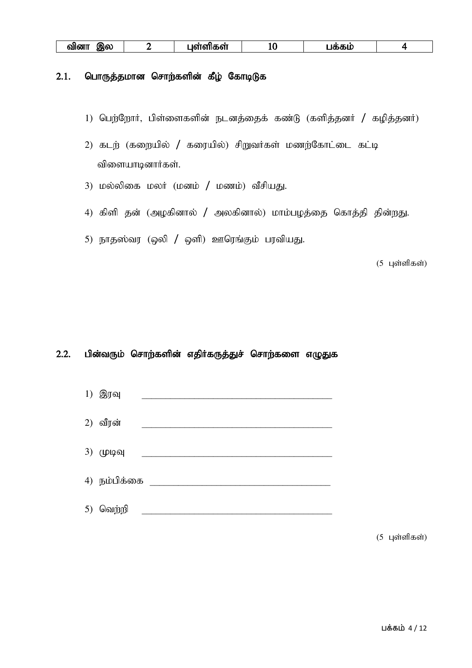| --- | இல<br>வினா |  | பள்ளிகள் |  | <u>п 1 с</u><br>ுயை |  |
|-----|------------|--|----------|--|---------------------|--|
|-----|------------|--|----------|--|---------------------|--|

#### $2.1.$ பொருத்தமான சொற்களின் கீழ் கோடிடுக

- 1) பெற்றோர், பிள்ளைகளின் நடனத்தைக் கண்டு (களித்தனர் / கழித்தனர்)
- 2) கடற் (கறையில் / கரையில்) சிறுவர்கள் மணற்கோட்டை கட்டி விளையாடினார்கள்.
- 3) மல்லிகை மலர் (மனம் / மணம்) வீசியது.
- 4) கிளி தன் (அழகினால் / அலகினால்) மாம்பழத்தை கொத்தி தின்றது.
- 5) நாதஸ்வர (ஒலி / ஒளி) ஊரெங்கும் பரவியது.

 $(5 \text{ L} \text{or} \text{L} \text{or} \text{L} \text{or} \text{L} \text{or} \text{L} \text{or} \text{L} \text{or} \text{L} \text{or} \text{L} \text{or} \text{L} \text{or} \text{L} \text{or} \text{L} \text{or} \text{L} \text{or} \text{L} \text{or} \text{L} \text{or} \text{L} \text{or} \text{L} \text{or} \text{L} \text{or} \text{L} \text{or} \text{L} \text{or} \text{L} \text{or} \text{L} \text{or} \text{L} \text$ 

#### பின்வரும் சொற்களின் எதிர்கருத்துச் சொற்களை எழுதுக  $2.2.$

| 1) இரவு      |  |
|--------------|--|
| 2) வீரன்     |  |
| 3) முடிவு    |  |
| 4) நம்பிக்கை |  |
| 5) வெற்றி    |  |

 $(5 \text{ L} \text{or} \text{L} \text{or} \text{L} \text{or} \text{L} \text{or} \text{L} \text{or} \text{L} \text{or} \text{L} \text{or} \text{L} \text{or} \text{L} \text{or} \text{L} \text{or} \text{L} \text{or} \text{L} \text{or} \text{L} \text{or} \text{L} \text{or} \text{L} \text{or} \text{L} \text{or} \text{L} \text{or} \text{L} \text{or} \text{L} \text{or} \text{L} \text{or} \text{L} \text{or} \text{L} \text$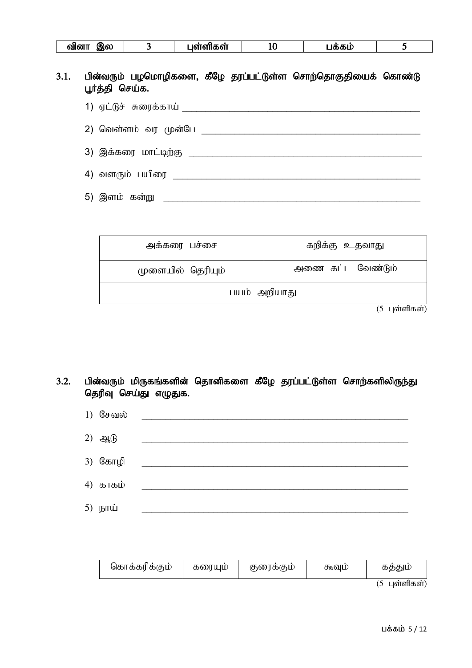| ---<br>. האור<br>. OL<br><b>VARVOIL</b><br>ີ | ı۴ | --<br>_____ |  |
|----------------------------------------------|----|-------------|--|

#### $3.1.$ பின்வரும் பழமொழிகளை, கீழே தரப்பட்டுள்ள சொற்தொகுதியைக் கொண்டு பூர்த்தி செய்க.

| 1) ஏட்டுச் சுரைக்காய்                                 |
|-------------------------------------------------------|
| 2) வெள்ளம் வர முன்பே $\frac{1}{\sqrt{1-\frac{1}{2}}}$ |
| 3) இக்கரை மாட்டிற்கு                                  |
| 4) வளரும் பயிரை                                       |
| 5) இளம் கன்று                                         |

| அக்கரை பச்சை      | கறிக்கு உதவாது                                                                                                                                                                                                                                                                                                                                                                                                                                                                         |
|-------------------|----------------------------------------------------------------------------------------------------------------------------------------------------------------------------------------------------------------------------------------------------------------------------------------------------------------------------------------------------------------------------------------------------------------------------------------------------------------------------------------|
| முளையில் தெரியும் | அணை கட்ட வேண்டும்                                                                                                                                                                                                                                                                                                                                                                                                                                                                      |
| பயம் அறியாது      |                                                                                                                                                                                                                                                                                                                                                                                                                                                                                        |
|                   | $(5 \text{ L} \cdot \text{L} \cdot \text{L} \cdot \text{L} \cdot \text{L} \cdot \text{L} \cdot \text{L} \cdot \text{L} \cdot \text{L} \cdot \text{L} \cdot \text{L} \cdot \text{L} \cdot \text{L} \cdot \text{L} \cdot \text{L} \cdot \text{L} \cdot \text{L} \cdot \text{L} \cdot \text{L} \cdot \text{L} \cdot \text{L} \cdot \text{L} \cdot \text{L} \cdot \text{L} \cdot \text{L} \cdot \text{L} \cdot \text{L} \cdot \text{L} \cdot \text{L} \cdot \text{L} \cdot \text{L} \cdot$ |

#### $3.2.$ பின்வரும் மிருகங்களின் தொனிகளை கீழே தரப்பட்டுள்ள சொற்களிலிருந்து தெரிவு செய்து எழுதுக.

| 1) சேவல் |  |
|----------|--|
| 2) $-46$ |  |
| 3) கோழி  |  |
| 4) காகம் |  |
| 5) நாய்  |  |

| கொக்கரிக்கும | கரையும | குனாககும | கூவும |  |
|--------------|--------|----------|-------|--|
|              |        |          |       |  |

(5 புள்ளிகள்)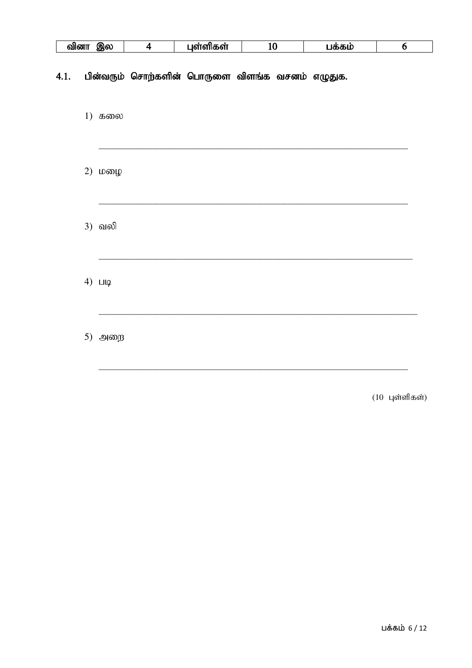|      | வினா இல  | $\overline{\mathbf{4}}$ | புள்ளிகள் | $\overline{10}$                                 | பக்கம் | 6 |
|------|----------|-------------------------|-----------|-------------------------------------------------|--------|---|
| 4.1. |          |                         |           | பின்வரும் சொற்களின் பொருளை விளங்க வசனம் எழுதுக. |        |   |
|      | $1)$ கலை |                         |           |                                                 |        |   |
|      | 2) மழை   |                         |           |                                                 |        |   |
|      | 3) வலி   |                         |           |                                                 |        |   |
|      | 4) படி   |                         |           |                                                 |        |   |
|      | 5) அறை   |                         |           |                                                 |        |   |
|      |          |                         |           |                                                 |        |   |

 $(10 \t10\text{arrows})$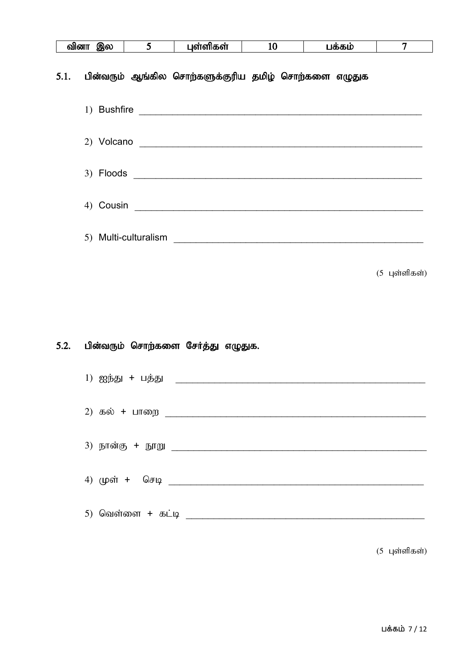|      | வினா இல | 5 <sub>5</sub> | புள்ளிகள்                                            | 10 | பக்கம் | $\overline{7}$                                        |
|------|---------|----------------|------------------------------------------------------|----|--------|-------------------------------------------------------|
| 5.1. |         |                | பின்வரும் ஆங்கில சொற்களுக்குரிய தமிழ் சொற்களை எழுதுக |    |        |                                                       |
|      |         |                |                                                      |    |        |                                                       |
|      |         |                |                                                      |    |        |                                                       |
|      |         |                |                                                      |    |        |                                                       |
|      |         |                |                                                      |    |        |                                                       |
|      |         |                |                                                      |    |        |                                                       |
|      |         |                |                                                      |    |        | $(5 \text{ L} \text{or} \text{m} \text{m} \text{cm})$ |
|      |         |                |                                                      |    |        |                                                       |
| 5.2. |         |                | பின்வரும் சொற்களை சேர்த்து எழுதுக.                   |    |        |                                                       |

| $1)$ ஐந்து + பத்து |  |
|--------------------|--|
|                    |  |
|                    |  |
|                    |  |
| 5) வெள்ளை + கட்டி  |  |

 $(5 \text{ L} \text{or} \text{L} \text{or} \text{L} \text{or} \text{L} \text{or} \text{L} \text{or} \text{L} \text{or} \text{L} \text{or} \text{L} \text{or} \text{L} \text{or} \text{L} \text{or} \text{L} \text{or} \text{L} \text{or} \text{L} \text{or} \text{L} \text{or} \text{L} \text{or} \text{L} \text{or} \text{L} \text{or} \text{L} \text{or} \text{L} \text{or} \text{L} \text{or} \text{L} \text{or} \text{L} \text$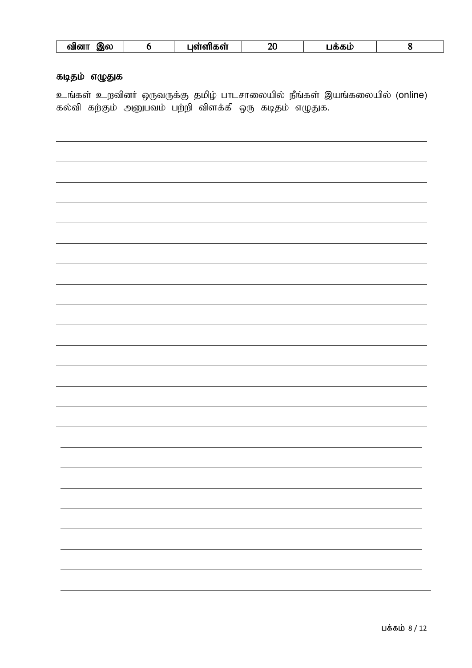| $\cdots$<br>வினா<br>இல | --- | 20<br>∼ | ---<br>ъu. |  |
|------------------------|-----|---------|------------|--|

### கடிதம் எழுதுக

உங்கள் உறவினர் ஒருவருக்கு தமிழ் பாடசாலையில் நீங்கள் இயங்கலையில் (online) கல்வி கற்கும் அனுபவம் பற்றி விளக்கி ஒரு கடிதம் எழுதுக.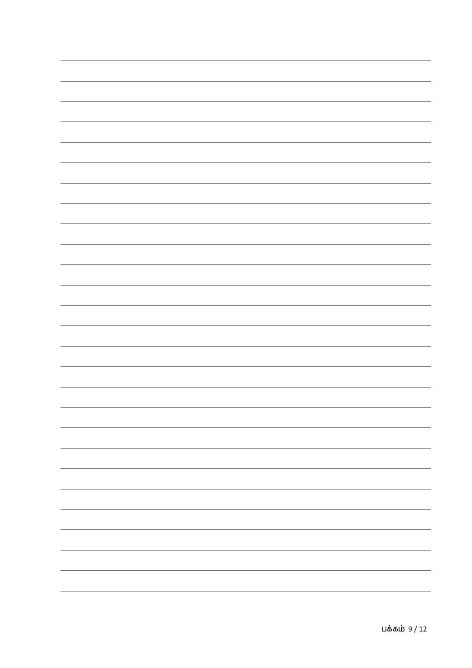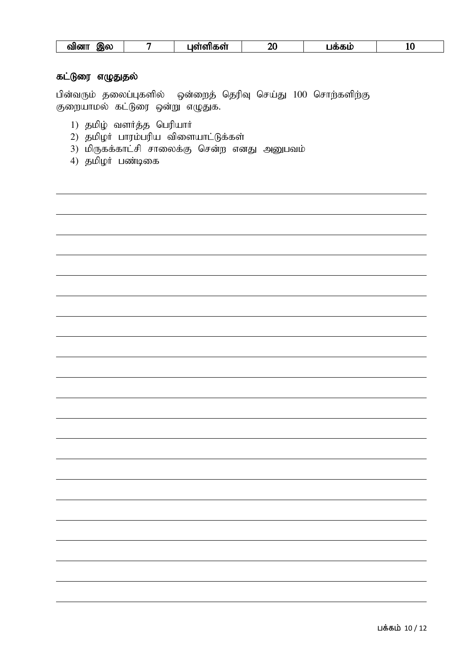| வினா<br>ത്രിക<br><br>ີ | ----<br>~<br>ın<br>ווטשוי | $\gamma$<br>∼<br>$\sim$ | the contract of the contract of the contract of the contract of the contract of | 10 |
|------------------------|---------------------------|-------------------------|---------------------------------------------------------------------------------|----|

### கட்டுரை எழுதுதல்

பின்வரும் தலைப்புகளில் ஒன்றைத் தெரிவு செய்து 100 சொற்களிற்கு குறையாமல் கட்டுரை ஒன்று எழுதுக.

- $1)$  தமிழ் வளர்த்த பெரியார்
- 2) தமிழர் பாரம்பரிய விளையாட்டுக்கள்
- 3) மிருகக்காட்சி சாலைக்கு சென்ற எனது அனுபவம்
- 4) தமிழர் பண்டிகை